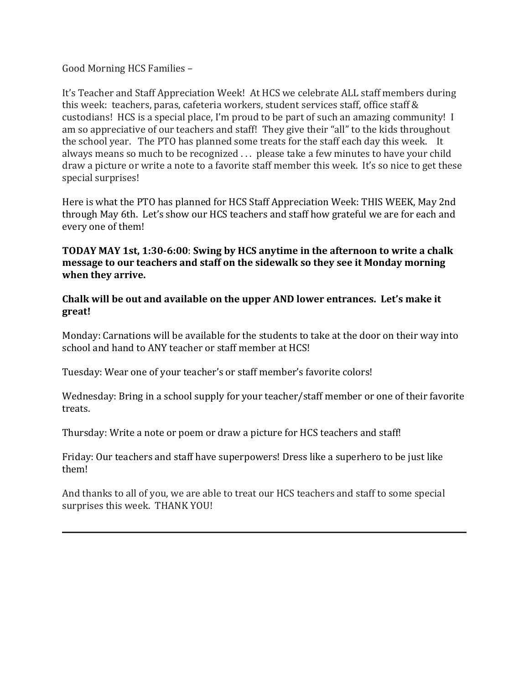### Good Morning HCS Families –

It's Teacher and Staff Appreciation Week! At HCS we celebrate ALL staff members during this week: teachers, paras, cafeteria workers, student services staff, office staff & custodians! HCS is a special place, I'm proud to be part of such an amazing community! I am so appreciative of our teachers and staff! They give their "all" to the kids throughout the school year. The PTO has planned some treats for the staff each day this week. It always means so much to be recognized . . . please take a few minutes to have your child draw a picture or write a note to a favorite staff member this week. It's so nice to get these special surprises!

Here is what the PTO has planned for HCS Staff Appreciation Week: THIS WEEK, May 2nd through May 6th. Let's show our HCS teachers and staff how grateful we are for each and every one of them!

## **TODAY MAY 1st, 1:30-6:00**: **Swing by HCS anytime in the afternoon to write a chalk message to our teachers and staff on the sidewalk so they see it Monday morning when they arrive.**

**Chalk will be out and available on the upper AND lower entrances. Let's make it great!**

Monday: Carnations will be available for the students to take at the door on their way into school and hand to ANY teacher or staff member at HCS!

Tuesday: Wear one of your teacher's or staff member's favorite colors!

Wednesday: Bring in a school supply for your teacher/staff member or one of their favorite treats.

Thursday: Write a note or poem or draw a picture for HCS teachers and staff!

Friday: Our teachers and staff have superpowers! Dress like a superhero to be just like them!

And thanks to all of you, we are able to treat our HCS teachers and staff to some special surprises this week. THANK YOU!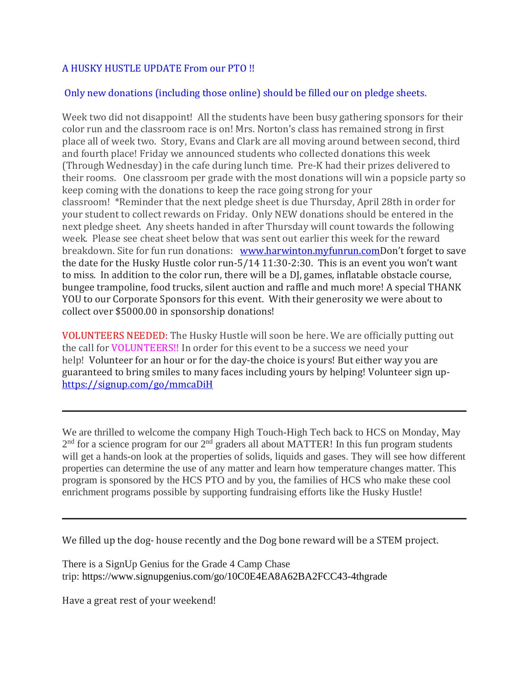## A HUSKY HUSTLE UPDATE From our PTO !!

# Only new donations (including those online) should be filled our on pledge sheets.

Week two did not disappoint! All the students have been busy gathering sponsors for their color run and the classroom race is on! Mrs. Norton's class has remained strong in first place all of week two. Story, Evans and Clark are all moving around between second, third and fourth place! Friday we announced students who collected donations this week (Through Wednesday) in the cafe during lunch time. Pre-K had their prizes delivered to their rooms. One classroom per grade with the most donations will win a popsicle party so keep coming with the donations to keep the race going strong for your classroom! \*Reminder that the next pledge sheet is due Thursday, April 28th in order for your student to collect rewards on Friday. Only NEW donations should be entered in the next pledge sheet. Any sheets handed in after Thursday will count towards the following week. Please see cheat sheet below that was sent out earlier this week for the reward breakdown. Site for fun run donations: [www.harwinton.myfunrun.com](http://track.spe.schoolmessenger.com/f/a/s23aWInnbc4F3YPbvbKLQA~~/AAAAAQA~/RgRkT5u7P0TXaHR0cHM6Ly9saW5rcHJvdGVjdC5jdWRhc3ZjLmNvbS91cmw_YT1odHRwJTNhJTJmJTJmd3d3LmhhcndpbnRvbi5teWZ1bnJ1bi5jb20mYz1FLDEsbzhvcjZGeWszdXJGRW5JLVoyQzZhREtNcVZOQkF2UXFCelRHZ25WOHZxQ3FGbjdLR1c5SUhXd2dkaDhtMExCTWR5RFFEUExhTExaZGVIaTE2OWNlaHg0THZXdXVZYTVtYmlWc0tiQXQ3cHlCdGZhWVU1UGxrazBXZ01jLCZ0eXBvPTFXB3NjaG9vbG1CCmJsO2huYpcmgdVSGWJhbGxlcmluaWFAcmVnaW9uMTBjdC5vcmdYBAAAAAE~)Don't forget to save the date for the Husky Hustle color run-5/14 11:30-2:30. This is an event you won't want to miss. In addition to the color run, there will be a DJ, games, inflatable obstacle course, bungee trampoline, food trucks, silent auction and raffle and much more! A special THANK YOU to our Corporate Sponsors for this event. With their generosity we were about to collect over \$5000.00 in sponsorship donations!

VOLUNTEERS NEEDED: The Husky Hustle will soon be here. We are officially putting out the call for VOLUNTEERS!! In order for this event to be a success we need your help! Volunteer for an hour or for the day-the choice is yours! But either way you are guaranteed to bring smiles to many faces including yours by helping! Volunteer sign up[https://signup.com/go/mmcaDiH](http://track.spe.schoolmessenger.com/f/a/QnDiFNzkkK0GQrIhifUT5w~~/AAAAAQA~/RgRkT5u7P0TDaHR0cHM6Ly9saW5rcHJvdGVjdC5jdWRhc3ZjLmNvbS91cmw_YT1odHRwcyUzYSUyZiUyZnNpZ251cC5jb20lMmZnbyUyZm1tY2FEaUgmYz1FLDEsSTRSX0F0TmNOYi1Mb0NRYndSSHdCbzExLWJWV3ZTdUNZM3VCa2hMLUUyUUNXTHBsVDI0SWdDeFVwRjB0RzM1VXZiYkhTcF94ZW1hWGFpUUlueXY0MWtrRzliaWpla04zYkpyMHJsaHImdHlwbz0xVwdzY2hvb2xtQgpibDtobmKXJoHVUhliYWxsZXJpbmlhQHJlZ2lvbjEwY3Qub3JnWAQAAAAB)

We are thrilled to welcome the company High Touch-High Tech back to HCS on Monday, May  $2<sup>nd</sup>$  for a science program for our  $2<sup>nd</sup>$  graders all about MATTER! In this fun program students will get a hands-on look at the properties of solids, liquids and gases. They will see how different properties can determine the use of any matter and learn how temperature changes matter. This program is sponsored by the HCS PTO and by you, the families of HCS who make these cool enrichment programs possible by supporting fundraising efforts like the Husky Hustle!

We filled up the dog- house recently and the Dog bone reward will be a STEM project.

There is a SignUp Genius for the Grade 4 Camp Chase trip: https://www.signupgenius.com/go/10C0E4EA8A62BA2FCC43-4thgrade

Have a great rest of your weekend!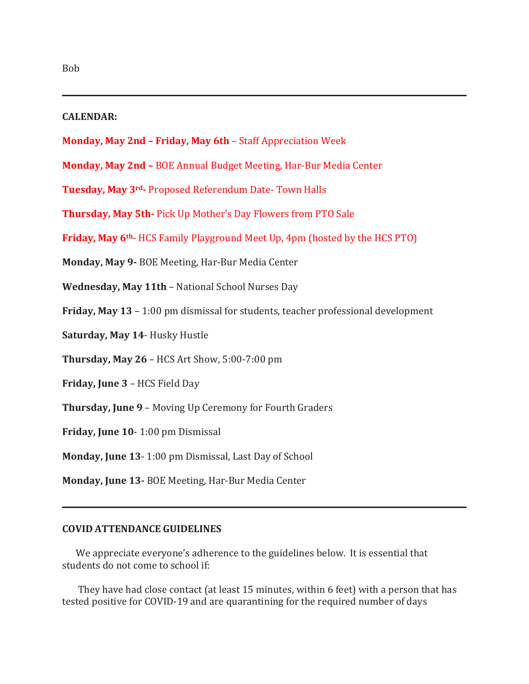### **CALENDAR:**

- **Monday, May 2nd – Friday, May 6th** Staff Appreciation Week
- **Monday, May 2nd –** BOE Annual Budget Meeting, Har-Bur Media Center
- **Tuesday, May 3rd-** Proposed Referendum Date- Town Halls
- **Thursday, May 5th-** Pick Up Mother's Day Flowers from PTO Sale
- **Friday, May 6th** HCS Family Playground Meet Up, 4pm (hosted by the HCS PTO)
- **Monday, May 9-** BOE Meeting, Har-Bur Media Center
- **Wednesday, May 11th** National School Nurses Day
- **Friday, May 13** 1:00 pm dismissal for students, teacher professional development
- **Saturday, May 14** Husky Hustle
- **Thursday, May 26** HCS Art Show, 5:00-7:00 pm
- **Friday, June 3** HCS Field Day
- **Thursday, June 9** Moving Up Ceremony for Fourth Graders
- **Friday, June 10** 1:00 pm Dismissal
- **Monday, June 13** 1:00 pm Dismissal, Last Day of School
- **Monday, June 13-** BOE Meeting, Har-Bur Media Center

### **COVID ATTENDANCE GUIDELINES**

We appreciate everyone's adherence to the guidelines below.  It is essential that students do not come to school if:     

 They have had close contact (at least 15 minutes, within 6 feet) with a person that has tested positive for COVID-19 and are quarantining for the required number of days